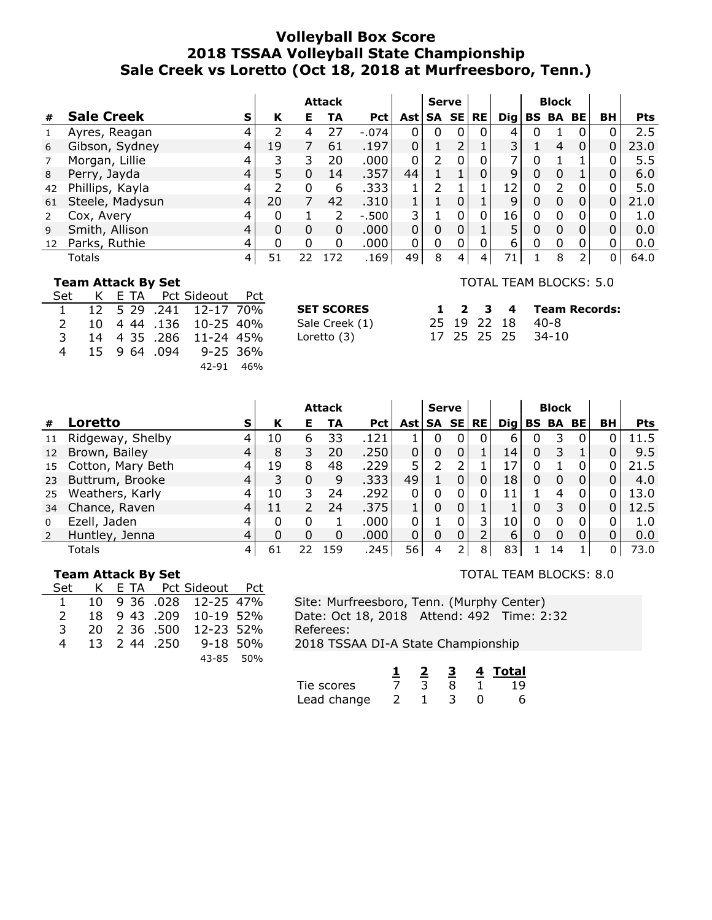# **Volleyball Box Score 2018 TSSAA Volleyball State Championship Sale Creek vs Loretto (Oct 18, 2018 at Murfreesboro, Tenn.)**

|    |                   |   |    |   | <b>Attack</b> |            |             | <b>Serve</b>                            |   |              |            |   | <b>Block</b>    |                |    |            |
|----|-------------------|---|----|---|---------------|------------|-------------|-----------------------------------------|---|--------------|------------|---|-----------------|----------------|----|------------|
| #  | <b>Sale Creek</b> | s | К  | Е | TA            | <b>Pct</b> |             | $\textsf{Ast} \textsf{SA} \textsf{SE} $ |   | <b>RE</b>    | <b>Dig</b> |   | <b>BS BA BE</b> |                | BH | <b>Pts</b> |
|    | Ayres, Reagan     |   |    | 4 | 27            | $-.074$    | 0           | $\Omega$                                | 0 | 0            | 4          |   |                 | 0              |    | 2.5        |
| 6  | Gibson, Sydney    | 4 | 19 |   | 61            | .197       | $\Omega$    |                                         |   |              | 3          |   | 4               | $\Omega$       | 0  | 23.0       |
|    | Morgan, Lillie    |   | 3  | 3 | 20            | .000       | 0           | າ                                       |   | 0            |            |   |                 |                |    | 5.5        |
| 8  | Perry, Jayda      |   |    |   | 14            | .357       | 44          |                                         |   |              | 9          | 0 |                 |                | 0  | 6.0        |
| 42 | Phillips, Kayla   |   | ว  | 0 | 6             | .333       |             | າ                                       |   |              | 12         | 0 | 2               | 0              |    | 5.0        |
| 61 | Steele, Madysun   | 4 | 20 |   | 42            | .310       |             |                                         | 0 |              | 9          | 0 | $\Omega$        | $\overline{0}$ | 0  | 21.0       |
|    | Cox, Avery        |   |    |   | 2             | $-.500$    | 3           |                                         | U | $\mathbf{0}$ | 16         | 0 |                 | 0              | 0  | 1.0        |
| 9  | Smith, Allison    |   |    | 0 | 0             | .000       | $\mathbf 0$ | 0                                       |   |              |            |   |                 |                | 0  | 0.0        |
| 12 | Parks, Ruthie     | 4 |    | 0 | $\Omega$      | .000       | $\Omega$    | 0                                       |   |              | 6          | 0 |                 | 0              |    | 0.0        |
|    | Totals            | 4 | 51 |   | -72           | .169       | 49          | 8                                       | 4 | 4            | 71         |   | 8               |                | 0  | 64.0       |

### **Team Attack By Set**

| Set            |  | K E TA Pct Sideout Pct |  |
|----------------|--|------------------------|--|
| $\mathbf{1}$   |  | 12 5 29 .241 12-17 70% |  |
| $\mathcal{P}$  |  | 10 4 44 .136 10-25 40% |  |
| 3.             |  | 14 4 35 .286 11-24 45% |  |
| $\overline{4}$ |  | 15 9 64 .094 9-25 36%  |  |
|                |  | 42-91 46%              |  |

**SET SCORES** Sale Creek (1) Loretto  $(3)$ 

#### TOTAL TEAM BLOCKS: 5.0

|  |  | 1 2 3 4 Team Records: |
|--|--|-----------------------|
|  |  | 25 19 22 18 40-8      |
|  |  | 17 25 25 25 34-10     |

|          |                   |                    |    |    | <b>Attack</b> |            |       | <b>Serve</b>   |          |              |     |          | <b>Block</b> |              |    |            |
|----------|-------------------|--------------------|----|----|---------------|------------|-------|----------------|----------|--------------|-----|----------|--------------|--------------|----|------------|
| #        | Loretto           | S.                 | К  | Е  | TA            | <b>Pct</b> | Ast l | SA SE          |          | <b>RE</b>    | Dig |          | BS BA BE     |              | BН | <b>Pts</b> |
|          | Ridgeway, Shelby  |                    | 10 | 6  | 33            | .121       |       | 0              | 0        | 0            | 6   | 0        | 3            | 0            |    | 11.5       |
| 12       | Brown, Bailey     |                    | 8  | 3  | 20            | .250       | 0     | 0              | 0        |              | 14  | 0        | 3            |              |    | 9.5        |
| 15       | Cotton, Mary Beth |                    | 19 | 8  | 48            | .229       | 5     | 2              | 2        |              | 17  |          |              | 0            |    | 21.5       |
| 23       | Buttrum, Brooke   |                    | 3  | 0  | 9             | .333       | 49    |                | $\Omega$ | $\mathbf{0}$ | 18  | 0        | 0            | $\Omega$     |    | 4.0        |
| 25       | Weathers, Karly   |                    | 10 |    | 24            | .292       | 0     | 0              | 0        | $0^{\circ}$  | 11  |          | 4            |              |    | 13.0       |
| 34       | Chance, Raven     |                    | 11 |    | 24            | .375       |       | $\Omega$       | 0        |              |     | 0        | 3            | $\Omega$     |    | 12.5       |
| $\Omega$ | Ezell, Jaden      |                    | 0  | 0  |               | .000       | 0     |                | 0        | 3            | 10  | 0        | 0            | <sup>0</sup> |    | 1.0        |
|          | Huntley, Jenna    |                    | 0  |    | 0             | .000       | 0     | 0              | 0        |              | 6   | $\Omega$ | 0            | 0            |    | 0.0        |
|          | Totals            | $\left  4 \right $ | 61 | 22 | 159           | .245       | 56    | $\overline{4}$ |          | 8            | 83  |          | 14           |              | 0  | 73.0       |

### **Team Attack By Set**

| Set           |              | K E TA Pct Sideout Pct |  |
|---------------|--------------|------------------------|--|
| $\mathbf{1}$  |              | 10 9 36 .028 12-25 47% |  |
| $\mathcal{P}$ |              | 18 9 43 .209 10-19 52% |  |
| 3             |              | 20 2 36 .500 12-23 52% |  |
| 4             | 13 2 44 .250 | 9-18 50%               |  |
|               |              | 43-85 50%              |  |

### TOTAL TEAM BLOCKS: 8.0

|             |  |  | 4 Total |
|-------------|--|--|---------|
| Tie scores  |  |  | 19      |
| Lead change |  |  |         |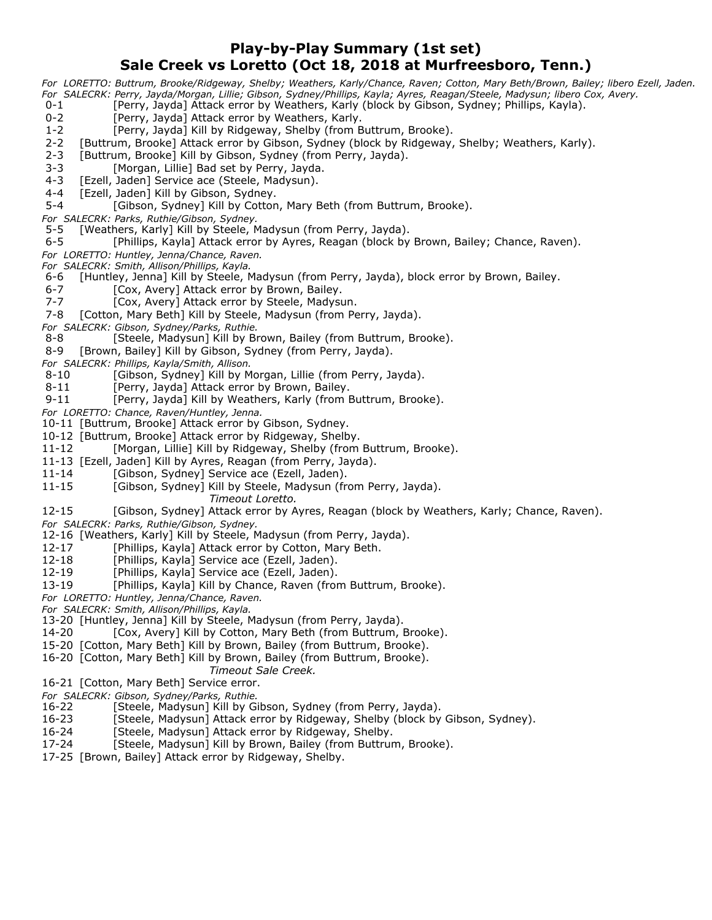## **Play-by-Play Summary (1st set) Sale Creek vs Loretto (Oct 18, 2018 at Murfreesboro, Tenn.)**

*For LORETTO: Buttrum, Brooke/Ridgeway, Shelby; Weathers, Karly/Chance, Raven; Cotton, Mary Beth/Brown, Bailey; libero Ezell, Jaden. For SALECRK: Perry, Jayda/Morgan, Lillie; Gibson, Sydney/Phillips, Kayla; Ayres, Reagan/Steele, Madysun; libero Cox, Avery.*

- 0-1 [Perry, Jayda] Attack error by Weathers, Karly (block by Gibson, Sydney; Phillips, Kayla).
- 0-2 [Perry, Jayda] Attack error by Weathers, Karly.
- 1-2 [Perry, Jayda] Kill by Ridgeway, Shelby (from Buttrum, Brooke).
- 2-2 [Buttrum, Brooke] Attack error by Gibson, Sydney (block by Ridgeway, Shelby; Weathers, Karly).
- 2-3 [Buttrum, Brooke] Kill by Gibson, Sydney (from Perry, Jayda).
- 3-3 [Morgan, Lillie] Bad set by Perry, Jayda.
- 4-3 [Ezell, Jaden] Service ace (Steele, Madysun).
- 4-4 [Ezell, Jaden] Kill by Gibson, Sydney.
- 5-4 [Gibson, Sydney] Kill by Cotton, Mary Beth (from Buttrum, Brooke).
- *For SALECRK: Parks, Ruthie/Gibson, Sydney.*
- 5-5 [Weathers, Karly] Kill by Steele, Madysun (from Perry, Jayda).
- 6-5 [Phillips, Kayla] Attack error by Ayres, Reagan (block by Brown, Bailey; Chance, Raven).
- *For LORETTO: Huntley, Jenna/Chance, Raven.*
- *For SALECRK: Smith, Allison/Phillips, Kayla.*
- 6-6 [Huntley, Jenna] Kill by Steele, Madysun (from Perry, Jayda), block error by Brown, Bailey.
- 6-7 [Cox, Avery] Attack error by Brown, Bailey.
- 7-7 [Cox, Avery] Attack error by Steele, Madysun.
- 7-8 [Cotton, Mary Beth] Kill by Steele, Madysun (from Perry, Jayda).
- *For SALECRK: Gibson, Sydney/Parks, Ruthie.*
- 8-8 [Steele, Madysun] Kill by Brown, Bailey (from Buttrum, Brooke).
- 8-9 [Brown, Bailey] Kill by Gibson, Sydney (from Perry, Jayda).
- *For SALECRK: Phillips, Kayla/Smith, Allison.*
- 8-10 [Gibson, Sydney] Kill by Morgan, Lillie (from Perry, Jayda).
- 8-11 [Perry, Jayda] Attack error by Brown, Bailey.
- 9-11 [Perry, Jayda] Kill by Weathers, Karly (from Buttrum, Brooke).
- *For LORETTO: Chance, Raven/Huntley, Jenna.*
- 10-11 [Buttrum, Brooke] Attack error by Gibson, Sydney.
- 10-12 [Buttrum, Brooke] Attack error by Ridgeway, Shelby.
- 11-12 [Morgan, Lillie] Kill by Ridgeway, Shelby (from Buttrum, Brooke).
- 11-13 [Ezell, Jaden] Kill by Ayres, Reagan (from Perry, Jayda).
- 11-14 [Gibson, Sydney] Service ace (Ezell, Jaden).
- 11-15 [Gibson, Sydney] Kill by Steele, Madysun (from Perry, Jayda).
	- *Timeout Loretto.*
- 12-15 [Gibson, Sydney] Attack error by Ayres, Reagan (block by Weathers, Karly; Chance, Raven).
- *For SALECRK: Parks, Ruthie/Gibson, Sydney.*
- 12-16 [Weathers, Karly] Kill by Steele, Madysun (from Perry, Jayda).
- 12-17 [Phillips, Kayla] Attack error by Cotton, Mary Beth.
- 12-18 [Phillips, Kayla] Service ace (Ezell, Jaden).
- 12-19 [Phillips, Kayla] Service ace (Ezell, Jaden).
- 13-19 [Phillips, Kayla] Kill by Chance, Raven (from Buttrum, Brooke).
- *For LORETTO: Huntley, Jenna/Chance, Raven.*
- *For SALECRK: Smith, Allison/Phillips, Kayla.*
- 13-20 [Huntley, Jenna] Kill by Steele, Madysun (from Perry, Jayda).
- 14-20 [Cox, Avery] Kill by Cotton, Mary Beth (from Buttrum, Brooke).
- 15-20 [Cotton, Mary Beth] Kill by Brown, Bailey (from Buttrum, Brooke).
- 16-20 [Cotton, Mary Beth] Kill by Brown, Bailey (from Buttrum, Brooke).
- *Timeout Sale Creek.*
- 16-21 [Cotton, Mary Beth] Service error.
- *For SALECRK: Gibson, Sydney/Parks, Ruthie.*
- 16-22 [Steele, Madysun] Kill by Gibson, Sydney (from Perry, Jayda).
- 16-23 [Steele, Madysun] Attack error by Ridgeway, Shelby (block by Gibson, Sydney).
- 16-24 [Steele, Madysun] Attack error by Ridgeway, Shelby.
- 17-24 [Steele, Madysun] Kill by Brown, Bailey (from Buttrum, Brooke).
- 17-25 [Brown, Bailey] Attack error by Ridgeway, Shelby.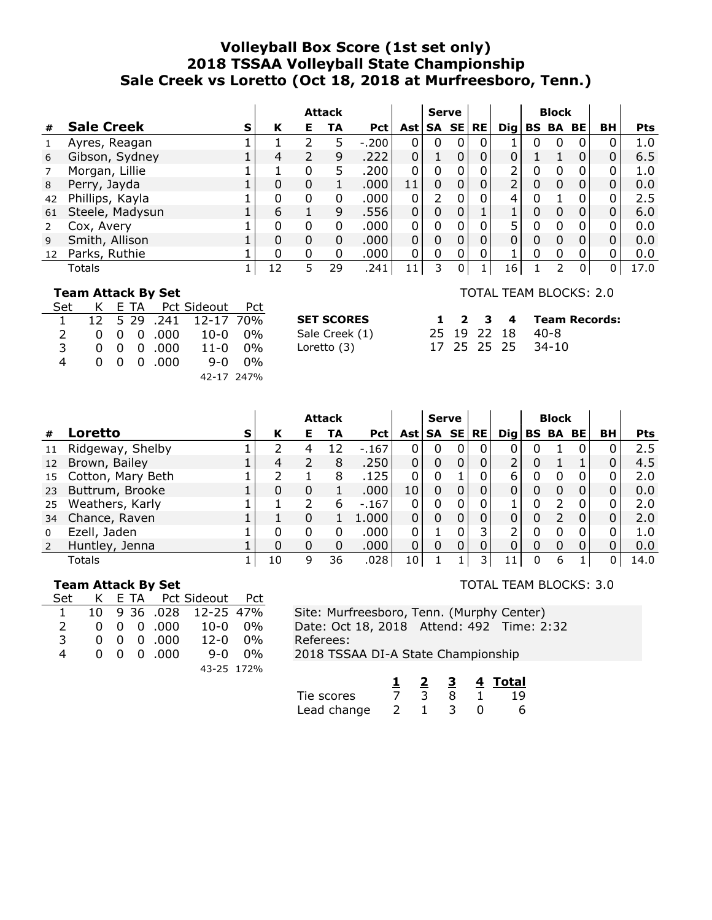# **Volleyball Box Score (1st set only) 2018 TSSAA Volleyball State Championship Sale Creek vs Loretto (Oct 18, 2018 at Murfreesboro, Tenn.)**

|    |                   |   |              |    | <b>Attack</b> |            |              | <b>Serve</b>  |   |   |          |   | <b>Block</b>                   |          |                |            |
|----|-------------------|---|--------------|----|---------------|------------|--------------|---------------|---|---|----------|---|--------------------------------|----------|----------------|------------|
| #  | <b>Sale Creek</b> | S | К            | Е. | TA            | <b>Pct</b> | Ast l        | SA SE RE      |   |   |          |   | $\text{Diag} \text{BS BA BE} $ |          | BH             | <b>Pts</b> |
|    | Ayres, Reagan     |   |              |    | 5             | $-.200$    | $\Omega$     | 0             | 0 | 0 |          | 0 | O                              | 0        |                | 1.0        |
| 6  | Gibson, Sydney    |   | 4            | 2  | 9             | .222       | $\mathbf{0}$ |               |   | 0 | $\Omega$ |   |                                | 0        | 0              | 6.5        |
|    | Morgan, Lillie    |   |              | 0  | 5.            | .200       | $\mathbf 0$  | 0             |   | 0 |          | 0 |                                | 0        | 0              | 1.0        |
| 8  | Perry, Jayda      |   |              | 0  |               | .000       | 11           | 0             |   | 0 |          | 0 | O                              | 0        | 0              | 0.0        |
| 42 | Phillips, Kayla   |   |              | 0  | 0             | .000       | 0            | $\mathcal{P}$ |   | 0 | 4        | 0 |                                | 0        | 0              | 2.5        |
| 61 | Steele, Madysun   |   | 6            |    | 9             | .556       | 0            | 0             | 0 |   |          | 0 | 0                              | $\Omega$ | $\overline{0}$ | 6.0        |
|    | Cox, Avery        |   |              | 0  | 0             | .000       | 0            | 0             |   | 0 |          | 0 |                                | 0        |                | 0.0        |
| 9  | Smith, Allison    |   | 0            | 0  | $\Omega$      | .000.      | 0            | 0             | 0 | 0 | 0        | 0 | 0                              | $\Omega$ | $\mathbf{0}$   | 0.0        |
| 12 | Parks, Ruthie     |   | <sup>0</sup> | 0  | 0             | .000       | 0            | 0             |   | 0 |          | 0 |                                | 0        |                | 0.0        |
|    | Totals            |   | 12           | 5  | 29            | .241       | 11           | 3             | 0 |   | 16       |   |                                | 0        |                | 17.0       |

#### **Team Attack By Set**

| Set           |  | K E TA Pct Sideout Pct         |                        |        |
|---------------|--|--------------------------------|------------------------|--------|
| 1.            |  |                                | 12 5 29 .241 12-17 70% |        |
| $\mathcal{P}$ |  | $0 \t0 \t0 \t.000$             | 10-0 0%                |        |
| 3             |  | $0 \t0 \t0 \t.000$             | $11 - 0$ $0\%$         |        |
| 4             |  | $0 \quad 0 \quad 0 \quad .000$ |                        | ዓ-በ በ% |
|               |  |                                | 42-17 247%             |        |

| <b>SET SCORES</b> |
|-------------------|
| Sale Creek (1)    |
| Loretto (3)       |
|                   |

#### TOTAL TEAM BLOCKS: 2.0

| SET SCORES     |  |  | 1 2 3 4 Team Records: |
|----------------|--|--|-----------------------|
| Sale Creek (1) |  |  | 25 19 22 18 40-8      |
| Loretto (3)    |  |  | 17 25 25 25 34-10     |

|               |                   |   |    |   | <b>Attack</b> |            |                 | <b>Serve</b> |   |           |                 |   | <b>Block</b> |    |            |
|---------------|-------------------|---|----|---|---------------|------------|-----------------|--------------|---|-----------|-----------------|---|--------------|----|------------|
| #             | Loretto           | s | К  | Е | TА            | <b>Pct</b> | Ast   SA SE     |              |   | <b>RE</b> | $\mathbf{Di}$ g |   | BS BA BE     | BH | <b>Pts</b> |
| 11            | Ridgeway, Shelby  |   |    |   | 12            | $-167$     |                 | 0            |   | 0         |                 |   |              |    | 2.5        |
| 12            | Brown, Bailey     |   | 4  | 2 | 8             | .250       | 0               | 0            |   | 0         | 2               |   |              |    | 4.5        |
| 15            | Cotton, Mary Beth |   |    |   | 8             | .125       |                 | 0            |   | 0         | 6.              | 0 | 0            |    | 2.0        |
| 23            | Buttrum, Brooke   |   | 0  | 0 |               | .000       | 10              | 0            |   | 0         | 0               | 0 |              | 0  | 0.0        |
| 25            | Weathers, Karly   |   |    |   | 6             | $-167$     |                 | 0            |   | 0         |                 |   |              |    | 2.0        |
| 34            | Chance, Raven     |   |    | 0 |               | 1.000      |                 | 0            |   |           |                 | 0 |              |    | 2.0        |
| $\mathbf{0}$  | Ezell, Jaden      |   | 0  | 0 | 0             | .000       |                 |              | 0 | 3         | 2               | 0 |              | 0  | 1.0        |
| $\mathcal{L}$ | Huntley, Jenna    |   | 0  | 0 | 0             | .000       | 0               | 0            | 0 | 0         | 0               | 0 |              | 0  | 0.0        |
|               | Totals            |   | 10 | 9 | 36            | .028       | 10 <sub>1</sub> |              |   |           |                 | 0 | 6            | 0  | 14.0       |

## **Team Attack By Set**

| Set           |  | K E TA Pct Sideout Pct        |                                 |  |
|---------------|--|-------------------------------|---------------------------------|--|
| $\mathbf{1}$  |  |                               | 10 9 36 .028 12-25 47%          |  |
| $\mathcal{L}$ |  |                               | $0 \t0 \t0 \t.000 \t10-0 \t0\%$ |  |
| 3             |  | $0\quad 0\quad 0\quad .000$   | $12 - 0$ $0\%$                  |  |
| 4             |  | $0 \quad 0 \quad 0 \quad 000$ | 9-0 ዐ%                          |  |
|               |  |                               | 43-25 172%                      |  |

TOTAL TEAM BLOCKS: 3.0

|             |  |  | Total |
|-------------|--|--|-------|
| Tie scores  |  |  |       |
| Lead change |  |  |       |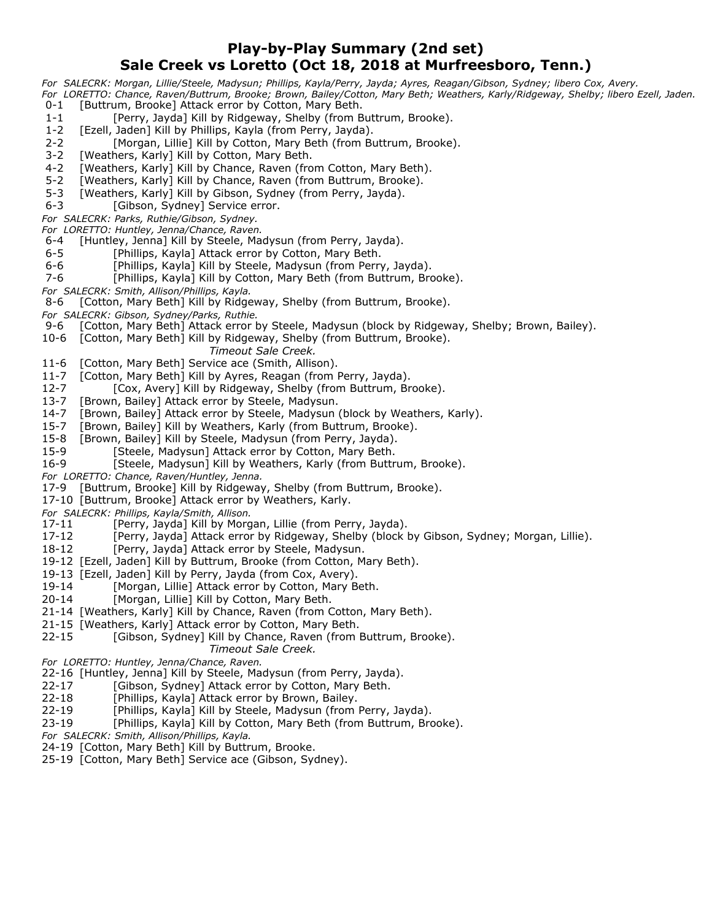## **Play-by-Play Summary (2nd set) Sale Creek vs Loretto (Oct 18, 2018 at Murfreesboro, Tenn.)**

*For SALECRK: Morgan, Lillie/Steele, Madysun; Phillips, Kayla/Perry, Jayda; Ayres, Reagan/Gibson, Sydney; libero Cox, Avery. For LORETTO: Chance, Raven/Buttrum, Brooke; Brown, Bailey/Cotton, Mary Beth; Weathers, Karly/Ridgeway, Shelby; libero Ezell, Jaden.*

- 0-1 [Buttrum, Brooke] Attack error by Cotton, Mary Beth.
- 1-1 [Perry, Jayda] Kill by Ridgeway, Shelby (from Buttrum, Brooke).
- 1-2 [Ezell, Jaden] Kill by Phillips, Kayla (from Perry, Jayda).
- 2-2 [Morgan, Lillie] Kill by Cotton, Mary Beth (from Buttrum, Brooke).
- 3-2 [Weathers, Karly] Kill by Cotton, Mary Beth.
- 4-2 [Weathers, Karly] Kill by Chance, Raven (from Cotton, Mary Beth).
- 5-2 [Weathers, Karly] Kill by Chance, Raven (from Buttrum, Brooke).
- 5-3 [Weathers, Karly] Kill by Gibson, Sydney (from Perry, Jayda).
- 6-3 [Gibson, Sydney] Service error.
- *For SALECRK: Parks, Ruthie/Gibson, Sydney.*
- *For LORETTO: Huntley, Jenna/Chance, Raven.*
- 6-4 [Huntley, Jenna] Kill by Steele, Madysun (from Perry, Jayda).
- 6-5 [Phillips, Kayla] Attack error by Cotton, Mary Beth.
- 6-6 [Phillips, Kayla] Kill by Steele, Madysun (from Perry, Jayda).
- 7-6 [Phillips, Kayla] Kill by Cotton, Mary Beth (from Buttrum, Brooke).
- *For SALECRK: Smith, Allison/Phillips, Kayla.*
- 8-6 [Cotton, Mary Beth] Kill by Ridgeway, Shelby (from Buttrum, Brooke).
- 
- *For SALECRK: Gibson, Sydney/Parks, Ruthie.* [Cotton, Mary Beth] Attack error by Steele, Madysun (block by Ridgeway, Shelby; Brown, Bailey).
- 10-6 [Cotton, Mary Beth] Kill by Ridgeway, Shelby (from Buttrum, Brooke). *Timeout Sale Creek.*
- 11-6 [Cotton, Mary Beth] Service ace (Smith, Allison).
- 11-7 [Cotton, Mary Beth] Kill by Ayres, Reagan (from Perry, Jayda).
- 12-7 [Cox, Avery] Kill by Ridgeway, Shelby (from Buttrum, Brooke).
- 13-7 [Brown, Bailey] Attack error by Steele, Madysun.
- 14-7 [Brown, Bailey] Attack error by Steele, Madysun (block by Weathers, Karly).
- 15-7 [Brown, Bailey] Kill by Weathers, Karly (from Buttrum, Brooke).
- 15-8 [Brown, Bailey] Kill by Steele, Madysun (from Perry, Jayda).
- 15-9 [Steele, Madysun] Attack error by Cotton, Mary Beth.
- 16-9 [Steele, Madysun] Kill by Weathers, Karly (from Buttrum, Brooke).
- *For LORETTO: Chance, Raven/Huntley, Jenna.*
- 17-9 [Buttrum, Brooke] Kill by Ridgeway, Shelby (from Buttrum, Brooke).
- 17-10 [Buttrum, Brooke] Attack error by Weathers, Karly.
- *For SALECRK: Phillips, Kayla/Smith, Allison.*
- 17-11 [Perry, Jayda] Kill by Morgan, Lillie (from Perry, Jayda).
- 17-12 [Perry, Jayda] Attack error by Ridgeway, Shelby (block by Gibson, Sydney; Morgan, Lillie).
- 18-12 [Perry, Jayda] Attack error by Steele, Madysun.
- 19-12 [Ezell, Jaden] Kill by Buttrum, Brooke (from Cotton, Mary Beth).
- 19-13 [Ezell, Jaden] Kill by Perry, Jayda (from Cox, Avery).
- 19-14 [Morgan, Lillie] Attack error by Cotton, Mary Beth.
- 20-14 [Morgan, Lillie] Kill by Cotton, Mary Beth.
- 21-14 [Weathers, Karly] Kill by Chance, Raven (from Cotton, Mary Beth).
- 21-15 [Weathers, Karly] Attack error by Cotton, Mary Beth.
- 22-15 [Gibson, Sydney] Kill by Chance, Raven (from Buttrum, Brooke).
	- *Timeout Sale Creek.*
- *For LORETTO: Huntley, Jenna/Chance, Raven.*
- 22-16 [Huntley, Jenna] Kill by Steele, Madysun (from Perry, Jayda).
- 22-17 [Gibson, Sydney] Attack error by Cotton, Mary Beth.
- 22-18 [Phillips, Kayla] Attack error by Brown, Bailey.
- 22-19 [Phillips, Kayla] Kill by Steele, Madysun (from Perry, Jayda).
- 23-19 [Phillips, Kayla] Kill by Cotton, Mary Beth (from Buttrum, Brooke).
- *For SALECRK: Smith, Allison/Phillips, Kayla.*
- 24-19 [Cotton, Mary Beth] Kill by Buttrum, Brooke.
- 25-19 [Cotton, Mary Beth] Service ace (Gibson, Sydney).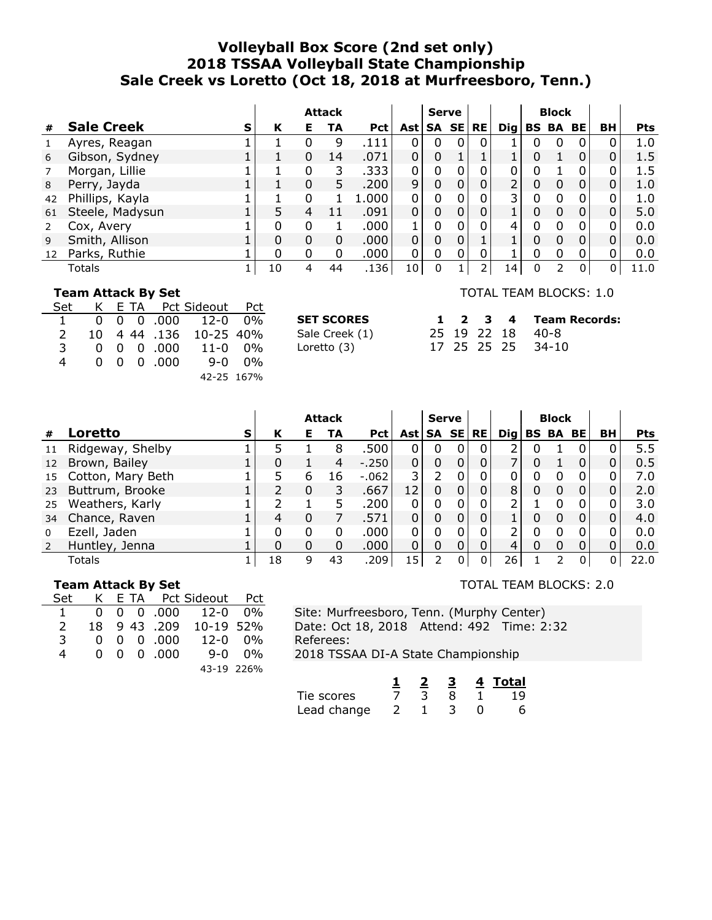# **Volleyball Box Score (2nd set only) 2018 TSSAA Volleyball State Championship Sale Creek vs Loretto (Oct 18, 2018 at Murfreesboro, Tenn.)**

|    |                   |   |              |   | <b>Attack</b> |            |       | <b>Serve</b> |          |          |    |   | <b>Block</b>                       |          |                |            |
|----|-------------------|---|--------------|---|---------------|------------|-------|--------------|----------|----------|----|---|------------------------------------|----------|----------------|------------|
| #  | <b>Sale Creek</b> | S | К            | Е | TA            | <b>Pct</b> | Ast l |              |          | SA SE RE |    |   | $\textsf{Dig} \mid \textsf{BS}$ BA | BE       | BH             | <b>Pts</b> |
|    | Ayres, Reagan     |   |              | 0 | 9             | .111       |       | 0            | 0        | $\Omega$ |    | 0 |                                    | 0        | 0              | 1.0        |
| 6  | Gibson, Sydney    |   |              | 0 | 14            | .071       | 0     | 0            |          |          |    | 0 |                                    | $\Omega$ | 0              | 1.5        |
|    | Morgan, Lillie    |   |              | 0 | 3             | .333       | 0     | 0            |          | 0        | 0  |   |                                    | 0        | $\Omega$       | 1.5        |
| 8  | Perry, Jayda      |   |              | 0 | 5.            | .200       | 9     | 0            |          | 0        | 2  | 0 | 0                                  | 0        | 0              | 1.0        |
| 42 | Phillips, Kayla   |   |              | 0 |               | .000.      | 0     | 0            | $\Omega$ | 0        | 3  | 0 |                                    | 0        | $\Omega$       | 1.0        |
| 61 | Steele, Madysun   |   |              | 4 |               | .091       | 0     | 0            |          | 0        |    | 0 | 0                                  | $\Omega$ | $\overline{0}$ | 5.0        |
|    | Cox, Avery        |   |              | 0 |               | .000       |       | 0            |          | 0        | 4  | 0 |                                    | 0        |                | 0.0        |
| 9  | Smith, Allison    |   | 0            | 0 | 0             | .000.      | 0     | $\Omega$     |          |          |    | 0 | 0                                  | $\Omega$ | $\overline{0}$ | 0.0        |
| 12 | Parks, Ruthie     |   | <sup>0</sup> | 0 | 0             | .000       | 0     | 0            |          | 0        |    | 0 |                                    | 0        |                | 0.0        |
|    | Totals            |   | 10           | 4 | 44            | .136       | 10 l  | 0            |          |          | 14 | 0 |                                    | 0        |                | 11.0       |

### **Team Attack By Set**

| Set           |  |                    | K E TA Pct Sideout Pct                |  |
|---------------|--|--------------------|---------------------------------------|--|
|               |  |                    | $0 \t 0 \t 0 \t 000 \t 12 - 0 \t 0\%$ |  |
| $\mathcal{L}$ |  |                    | 10 4 44 .136 10-25 40%                |  |
| 3             |  | $0 \t0 \t0 \t.000$ | 11-0 0%                               |  |
| 4             |  | $0 \t0 \t0 \t.000$ | 9-0 0%                                |  |
|               |  |                    | 42-25 167%                            |  |

| <b>SET SCORES</b> |  | $1 \t2 \t3 \t4$ |  |
|-------------------|--|-----------------|--|
| Sale Creek (1)    |  | 25 19 22 18     |  |
| Loretto (3)       |  | 17 25 25 25     |  |

### TOTAL TEAM BLOCKS: 1.0

|  |  | 1 2 3 4 Team Records: |
|--|--|-----------------------|
|  |  | 25 19 22 18 40-8      |
|  |  | 17 25 25 25 34-10     |

|                 |                   |   |    |   | <b>Attack</b> |            |       | <b>Serve</b> |           |                 |   | <b>Block</b> |          |    |            |
|-----------------|-------------------|---|----|---|---------------|------------|-------|--------------|-----------|-----------------|---|--------------|----------|----|------------|
| #               | Loretto           | S | К  | Е | TA            | <b>Pct</b> | Ast l | SA SE        | <b>RE</b> | $\mathbf{Di}$ g |   | <b>BS BA</b> | BE       | BH | <b>Pts</b> |
| 11              | Ridgeway, Shelby  |   |    |   | 8             | .500       |       | 0            |           |                 |   |              |          |    | 5.5        |
| 12 <sup>2</sup> | Brown, Bailey     |   | 0  |   | 4             | $-.250$    | 0     | 0            |           |                 | 0 |              | 0        |    | 0.5        |
| 15              | Cotton, Mary Beth |   |    | 6 | 16            | $-.062$    |       |              |           |                 | 0 | 0            |          |    | 7.0        |
| 23              | Buttrum, Brooke   |   |    | 0 | 3             | .667       | 12    | 0            |           | 8               | 0 |              | 0        |    | 2.0        |
| 25              | Weathers, Karly   |   |    |   |               | .200       |       | 0            |           |                 |   |              |          |    | 3.0        |
| 34              | Chance, Raven     |   | 4  | 0 |               | .571       |       | 0            |           |                 | 0 | 0            | 0        |    | 4.0        |
| $\Omega$        | Ezell, Jaden      |   | 0  | 0 | 0             | .000       |       | 0            |           |                 | 0 | 0            |          |    | 0.0        |
| 2               | Huntley, Jenna    |   | 0  |   | 0             | .000       | 0     | 0            |           | 4               | 0 |              | 0        |    | 0.0        |
|                 | Totals            |   | 18 | q | 43            | .209       | 15    |              | 0         | 26 <sub>1</sub> |   |              | $\Omega$ |    | 22.0       |

### **Team Attack By Set**

| Set           |  |                               | K E TA Pct Sideout Pct          |  |
|---------------|--|-------------------------------|---------------------------------|--|
| $\mathbf{1}$  |  |                               | $0 \t0 \t0 \t.000 \t12-0 \t0\%$ |  |
| $\mathcal{L}$ |  |                               | 18 9 43 .209 10-19 52%          |  |
| 3             |  | $0 \t0 \t0 \t.000$            | 12-0 0%                         |  |
| 4             |  | $0 \quad 0 \quad 0 \quad 000$ | 9-0 0%                          |  |
|               |  |                               | 43-19 226%                      |  |

TOTAL TEAM BLOCKS: 2.0

|             |  |  | Total |
|-------------|--|--|-------|
| Tie scores  |  |  |       |
| Lead change |  |  |       |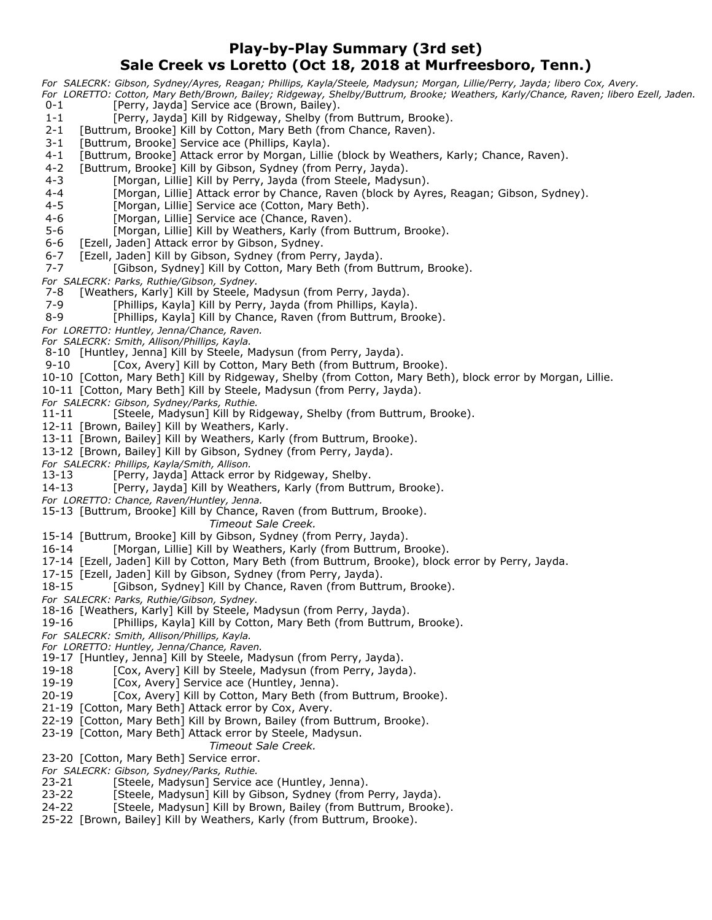# **Play-by-Play Summary (3rd set) Sale Creek vs Loretto (Oct 18, 2018 at Murfreesboro, Tenn.)**

*For SALECRK: Gibson, Sydney/Ayres, Reagan; Phillips, Kayla/Steele, Madysun; Morgan, Lillie/Perry, Jayda; libero Cox, Avery.*

- *For LORETTO: Cotton, Mary Beth/Brown, Bailey; Ridgeway, Shelby/Buttrum, Brooke; Weathers, Karly/Chance, Raven; libero Ezell, Jaden.* 0-1 [Perry, Jayda] Service ace (Brown, Bailey).
- 1-1 [Perry, Jayda] Kill by Ridgeway, Shelby (from Buttrum, Brooke).
- 2-1 [Buttrum, Brooke] Kill by Cotton, Mary Beth (from Chance, Raven).
- 3-1 [Buttrum, Brooke] Service ace (Phillips, Kayla).
- 4-1 [Buttrum, Brooke] Attack error by Morgan, Lillie (block by Weathers, Karly; Chance, Raven).
- 4-2 [Buttrum, Brooke] Kill by Gibson, Sydney (from Perry, Jayda).
- 4-3 [Morgan, Lillie] Kill by Perry, Jayda (from Steele, Madysun).
- 4-4 [Morgan, Lillie] Attack error by Chance, Raven (block by Ayres, Reagan; Gibson, Sydney).
- 4-5 [Morgan, Lillie] Service ace (Cotton, Mary Beth).
- 4-6 [Morgan, Lillie] Service ace (Chance, Raven).
- 5-6 [Morgan, Lillie] Kill by Weathers, Karly (from Buttrum, Brooke).
- 6-6 [Ezell, Jaden] Attack error by Gibson, Sydney.
- 6-7 [Ezell, Jaden] Kill by Gibson, Sydney (from Perry, Jayda).<br>7-7 [Gibson, Sydney] Kill by Cotton, Mary Beth (from B
- [Gibson, Sydney] Kill by Cotton, Mary Beth (from Buttrum, Brooke).

*For SALECRK: Parks, Ruthie/Gibson, Sydney.*

- 7-8 [Weathers, Karly] Kill by Steele, Madysun (from Perry, Jayda).
- 7-9 [Phillips, Kayla] Kill by Perry, Jayda (from Phillips, Kayla).
- 8-9 [Phillips, Kayla] Kill by Chance, Raven (from Buttrum, Brooke).

*For LORETTO: Huntley, Jenna/Chance, Raven.*

*For SALECRK: Smith, Allison/Phillips, Kayla.*

8-10 [Huntley, Jenna] Kill by Steele, Madysun (from Perry, Jayda).

- 9-10 [Cox, Avery] Kill by Cotton, Mary Beth (from Buttrum, Brooke).
- 10-10 [Cotton, Mary Beth] Kill by Ridgeway, Shelby (from Cotton, Mary Beth), block error by Morgan, Lillie.
- 10-11 [Cotton, Mary Beth] Kill by Steele, Madysun (from Perry, Jayda).

*For SALECRK: Gibson, Sydney/Parks, Ruthie.*

[Steele, Madysun] Kill by Ridgeway, Shelby (from Buttrum, Brooke).

- 12-11 [Brown, Bailey] Kill by Weathers, Karly.
- 13-11 [Brown, Bailey] Kill by Weathers, Karly (from Buttrum, Brooke).
- 13-12 [Brown, Bailey] Kill by Gibson, Sydney (from Perry, Jayda).
- *For SALECRK: Phillips, Kayla/Smith, Allison.*
- 13-13 [Perry, Jayda] Attack error by Ridgeway, Shelby.
- 14-13 [Perry, Jayda] Kill by Weathers, Karly (from Buttrum, Brooke).
- *For LORETTO: Chance, Raven/Huntley, Jenna.*
- 15-13 [Buttrum, Brooke] Kill by Chance, Raven (from Buttrum, Brooke).
	- *Timeout Sale Creek.*
- 15-14 [Buttrum, Brooke] Kill by Gibson, Sydney (from Perry, Jayda).
- 16-14 [Morgan, Lillie] Kill by Weathers, Karly (from Buttrum, Brooke).
- 17-14 [Ezell, Jaden] Kill by Cotton, Mary Beth (from Buttrum, Brooke), block error by Perry, Jayda.
- 17-15 [Ezell, Jaden] Kill by Gibson, Sydney (from Perry, Jayda).
- 18-15 [Gibson, Sydney] Kill by Chance, Raven (from Buttrum, Brooke).
- *For SALECRK: Parks, Ruthie/Gibson, Sydney.*
- 18-16 [Weathers, Karly] Kill by Steele, Madysun (from Perry, Jayda).
- 19-16 [Phillips, Kayla] Kill by Cotton, Mary Beth (from Buttrum, Brooke).
- *For SALECRK: Smith, Allison/Phillips, Kayla.*
- *For LORETTO: Huntley, Jenna/Chance, Raven.*
- 19-17 [Huntley, Jenna] Kill by Steele, Madysun (from Perry, Jayda).
- 19-18 [Cox, Avery] Kill by Steele, Madysun (from Perry, Jayda).
- 19-19 [Cox, Avery] Service ace (Huntley, Jenna).
- 20-19 [Cox, Avery] Kill by Cotton, Mary Beth (from Buttrum, Brooke).
- 21-19 [Cotton, Mary Beth] Attack error by Cox, Avery.
- 22-19 [Cotton, Mary Beth] Kill by Brown, Bailey (from Buttrum, Brooke).
- 23-19 [Cotton, Mary Beth] Attack error by Steele, Madysun.
- *Timeout Sale Creek.*
- 23-20 [Cotton, Mary Beth] Service error.
- *For SALECRK: Gibson, Sydney/Parks, Ruthie.*
- 23-21 [Steele, Madysun] Service ace (Huntley, Jenna).
- 23-22 [Steele, Madysun] Kill by Gibson, Sydney (from Perry, Jayda).
- 24-22 [Steele, Madysun] Kill by Brown, Bailey (from Buttrum, Brooke).
- 25-22 [Brown, Bailey] Kill by Weathers, Karly (from Buttrum, Brooke).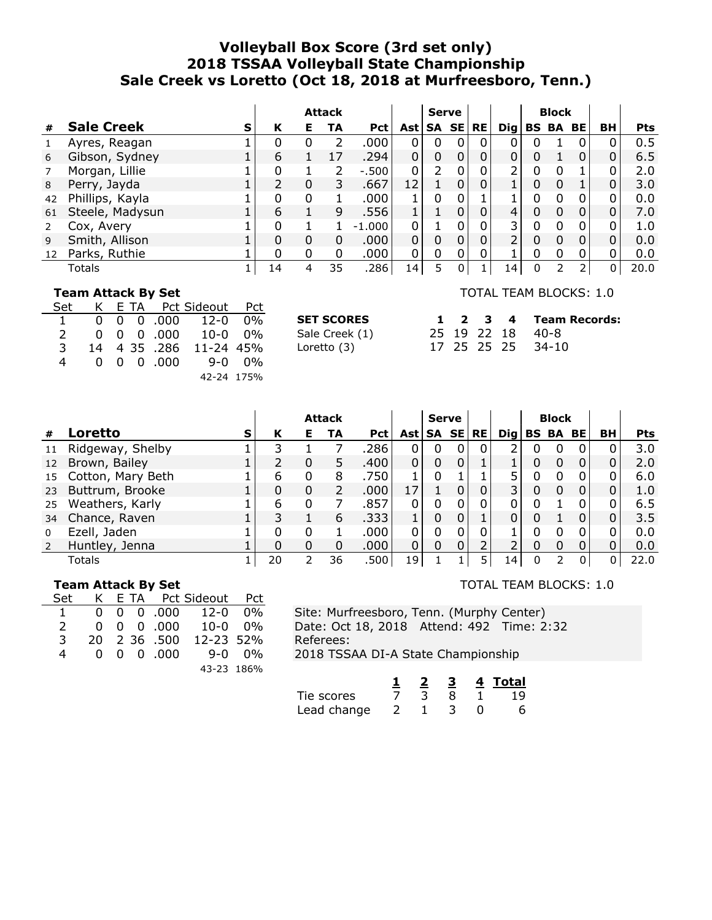# **Volleyball Box Score (3rd set only) 2018 TSSAA Volleyball State Championship Sale Creek vs Loretto (Oct 18, 2018 at Murfreesboro, Tenn.)**

|    |                   |   |    |   | <b>Attack</b> |            |                 | <b>Serve</b>  |   |          |                 |   | <b>Block</b>                       |              |                |            |
|----|-------------------|---|----|---|---------------|------------|-----------------|---------------|---|----------|-----------------|---|------------------------------------|--------------|----------------|------------|
| #  | <b>Sale Creek</b> | S | К  | Е | TA            | <b>Pct</b> | Ast l           |               |   | SA SE RE |                 |   | $\textsf{Dig} \mid \textsf{BS}$ BA | BE           | BH             | <b>Pts</b> |
|    | Ayres, Reagan     |   |    |   |               | .000       | 0               | 0             | 0 | $\Omega$ |                 |   |                                    | 0            |                | 0.5        |
| 6  | Gibson, Sydney    |   | 6  |   |               | .294       | $\overline{0}$  | 0             | 0 | 0        | $\mathbf{0}$    |   |                                    | $\mathbf{0}$ | $\mathbf{0}$   | 6.5        |
|    | Morgan, Lillie    |   |    |   | フ             | $-.500$    | $\Omega$        | $\mathcal{P}$ |   | 0        | 2               | 0 |                                    |              | 0              | 2.0        |
| 8  | Perry, Jayda      |   |    | 0 | 3             | .667       | 12              |               |   | 0        |                 | 0 |                                    |              | 0              | 3.0        |
| 42 | Phillips, Kayla   |   |    | 0 |               | .000       |                 | 0             |   |          |                 | 0 |                                    | 0            | $\Omega$       | 0.0        |
| 61 | Steele, Madysun   |   | 6  |   | 9             | .556       |                 |               |   | 0        | 4               | 0 | 0                                  | $\Omega$     | $\overline{0}$ | 7.0        |
|    | Cox, Avery        |   |    |   |               | $-1.000$   | 0               |               |   | 0        | 3               | 0 |                                    | 0            |                | 1.0        |
| 9  | Smith, Allison    |   | 0  | 0 | 0             | .000.      | 0               | 0             |   | 0        | 2               | 0 | 0                                  | $\Omega$     | 0              | 0.0        |
| 12 | Parks, Ruthie     |   | 0  | 0 | 0             | .000       | 0               | 0             |   | 0        |                 | 0 |                                    | 0            |                | 0.0        |
|    | Totals            |   | 14 | 4 | 35            | .286       | 14 <sub>1</sub> | 5             | 0 |          | 14 <sub>1</sub> | 0 |                                    |              |                | 20.0       |

### **Team Attack By Set**

| Set           |  |              | K E TA Pct Sideout Pct          |        |
|---------------|--|--------------|---------------------------------|--------|
|               |  |              | $0 \t0 \t0 \t.000 \t12-0 \t0\%$ |        |
| $\mathcal{L}$ |  |              | $0 \t0 \t0 \t.000 \t10-0 \t0\%$ |        |
| 3             |  | 14 4 35 .286 | 11-24 45%                       |        |
| 4             |  | 0 0 0 000    |                                 | 9-0 ዐ% |
|               |  |              | 42-24 175%                      |        |

#### TOTAL TEAM BLOCKS: 1.0

| SET SCORES     |  |  | 1 2 3 4 Team Records: |
|----------------|--|--|-----------------------|
| Sale Creek (1) |  |  | 25 19 22 18 40-8      |
| Loretto (3)    |  |  | 17 25 25 25 34-10     |

|                |                   |   |    |          | <b>Attack</b> |            |             | <b>Serve</b> |              |                 | <b>Block</b>    |   |           |      |
|----------------|-------------------|---|----|----------|---------------|------------|-------------|--------------|--------------|-----------------|-----------------|---|-----------|------|
| #              | Loretto           | s | К  | Е        | TA            | <b>Pct</b> | Ast   SA SE |              | <b>RE</b>    | $\mathbf{Di}$ g | <b>BS BA BE</b> |   | <b>BH</b> | Pts  |
| 11             | Ridgeway, Shelby  |   | 3  |          |               | .286       |             | 0            | 0            |                 |                 |   |           | 3.0  |
| 12             | Brown, Bailey     |   |    | 0        | 5.            | .400       | 0           | 0            |              |                 |                 | 0 |           | 2.0  |
| 15             | Cotton, Mary Beth |   | 6  | 0        | 8             | .750       |             |              |              |                 |                 |   |           | 6.0  |
| 23             | Buttrum, Brooke   |   | 0  | 0        |               | .000       | 17          |              | $\mathbf{0}$ | 3               |                 |   |           | 1.0  |
| 25             | Weathers, Karly   |   | 6  | $\Omega$ |               | .857       |             |              |              |                 |                 |   |           | 6.5  |
| 34             | Chance, Raven     |   |    |          | 6             | .333       |             |              |              |                 |                 |   |           | 3.5  |
| $\Omega$       | Ezell, Jaden      |   | 0  | O        |               | .000       |             | O            | 0            |                 |                 | 0 |           | 0.0  |
| $\overline{z}$ | Huntley, Jenna    |   | 0  | 0        | 0             | .000.      | 0           | 0            |              |                 |                 |   |           | 0.0  |
|                | Totals            |   | 20 |          | 36            | .500       | 19          |              |              | 14'             |                 | 0 |           | 22.0 |

### **Team Attack By Set**

| Set            |  | K E TA Pct Sideout Pct        |                                 |  |
|----------------|--|-------------------------------|---------------------------------|--|
| $\overline{1}$ |  |                               | $0 \t0 \t0 \t.000 \t12-0 \t0\%$ |  |
| $\mathcal{L}$  |  |                               | $0 \t0 \t0 \t.000 \t10-0 \t0\%$ |  |
| 3              |  | 20 2 36 .500                  | 12-23 52%                       |  |
| 4              |  | $0 \quad 0 \quad 0 \quad 000$ | 9-0 0%                          |  |
|                |  |                               | 43-23 186%                      |  |

TOTAL TEAM BLOCKS: 1.0

|             |  |  | 4 Total |
|-------------|--|--|---------|
| Tie scores  |  |  |         |
| Lead change |  |  |         |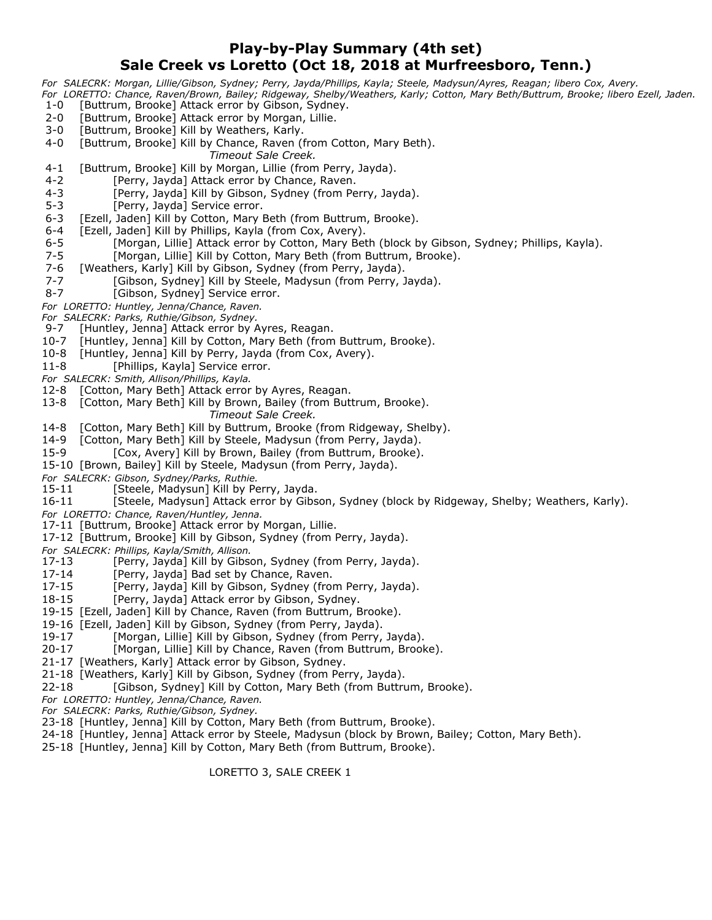# **Play-by-Play Summary (4th set) Sale Creek vs Loretto (Oct 18, 2018 at Murfreesboro, Tenn.)**

*For SALECRK: Morgan, Lillie/Gibson, Sydney; Perry, Jayda/Phillips, Kayla; Steele, Madysun/Ayres, Reagan; libero Cox, Avery. For LORETTO: Chance, Raven/Brown, Bailey; Ridgeway, Shelby/Weathers, Karly; Cotton, Mary Beth/Buttrum, Brooke; libero Ezell, Jaden.*

- 1-0 [Buttrum, Brooke] Attack error by Gibson, Sydney.
- 2-0 [Buttrum, Brooke] Attack error by Morgan, Lillie.
- 3-0 [Buttrum, Brooke] Kill by Weathers, Karly.
- 4-0 [Buttrum, Brooke] Kill by Chance, Raven (from Cotton, Mary Beth).
	- *Timeout Sale Creek.*
- 4-1 [Buttrum, Brooke] Kill by Morgan, Lillie (from Perry, Jayda).
- 4-2 [Perry, Jayda] Attack error by Chance, Raven.
- 4-3 [Perry, Jayda] Kill by Gibson, Sydney (from Perry, Jayda).
- 5-3 [Perry, Jayda] Service error.
- 6-3 [Ezell, Jaden] Kill by Cotton, Mary Beth (from Buttrum, Brooke).
- 6-4 [Ezell, Jaden] Kill by Phillips, Kayla (from Cox, Avery).
- 6-5 [Morgan, Lillie] Attack error by Cotton, Mary Beth (block by Gibson, Sydney; Phillips, Kayla).
- 7-5 [Morgan, Lillie] Kill by Cotton, Mary Beth (from Buttrum, Brooke).<br>7-6 [Weathers, Karly] Kill by Gibson, Sydney (from Perry, Jayda).
- [Weathers, Karly] Kill by Gibson, Sydney (from Perry, Jayda).
- 7-7 [Gibson, Sydney] Kill by Steele, Madysun (from Perry, Jayda).
- 8-7 [Gibson, Sydney] Service error.
- *For LORETTO: Huntley, Jenna/Chance, Raven.*

*For SALECRK: Parks, Ruthie/Gibson, Sydney.*

- [Huntley, Jenna] Attack error by Ayres, Reagan.
- 10-7 [Huntley, Jenna] Kill by Cotton, Mary Beth (from Buttrum, Brooke).
- 10-8 [Huntley, Jenna] Kill by Perry, Jayda (from Cox, Avery).
- 11-8 [Phillips, Kayla] Service error.
- *For SALECRK: Smith, Allison/Phillips, Kayla.*
- 12-8 [Cotton, Mary Beth] Attack error by Ayres, Reagan.
- 13-8 [Cotton, Mary Beth] Kill by Brown, Bailey (from Buttrum, Brooke).
	- *Timeout Sale Creek.*
- 14-8 [Cotton, Mary Beth] Kill by Buttrum, Brooke (from Ridgeway, Shelby).
- 14-9 [Cotton, Mary Beth] Kill by Steele, Madysun (from Perry, Jayda).
- 15-9 [Cox, Avery] Kill by Brown, Bailey (from Buttrum, Brooke).
- 15-10 [Brown, Bailey] Kill by Steele, Madysun (from Perry, Jayda).
- *For SALECRK: Gibson, Sydney/Parks, Ruthie.*
- 15-11 [Steele, Madysun] Kill by Perry, Jayda.
- 16-11 [Steele, Madysun] Attack error by Gibson, Sydney (block by Ridgeway, Shelby; Weathers, Karly).
- *For LORETTO: Chance, Raven/Huntley, Jenna.*
- 17-11 [Buttrum, Brooke] Attack error by Morgan, Lillie.
- 17-12 [Buttrum, Brooke] Kill by Gibson, Sydney (from Perry, Jayda).
- *For SALECRK: Phillips, Kayla/Smith, Allison.*
- 17-13 [Perry, Jayda] Kill by Gibson, Sydney (from Perry, Jayda).
- 17-14 [Perry, Jayda] Bad set by Chance, Raven.
- 17-15 [Perry, Jayda] Kill by Gibson, Sydney (from Perry, Jayda).
- 18-15 [Perry, Jayda] Attack error by Gibson, Sydney.
- 19-15 [Ezell, Jaden] Kill by Chance, Raven (from Buttrum, Brooke).
- 19-16 [Ezell, Jaden] Kill by Gibson, Sydney (from Perry, Jayda).
- 19-17 [Morgan, Lillie] Kill by Gibson, Sydney (from Perry, Jayda).
- 20-17 [Morgan, Lillie] Kill by Chance, Raven (from Buttrum, Brooke).
- 21-17 [Weathers, Karly] Attack error by Gibson, Sydney.
- 21-18 [Weathers, Karly] Kill by Gibson, Sydney (from Perry, Jayda).
- 22-18 [Gibson, Sydney] Kill by Cotton, Mary Beth (from Buttrum, Brooke).
- *For LORETTO: Huntley, Jenna/Chance, Raven.*
- *For SALECRK: Parks, Ruthie/Gibson, Sydney.*
- 23-18 [Huntley, Jenna] Kill by Cotton, Mary Beth (from Buttrum, Brooke).
- 24-18 [Huntley, Jenna] Attack error by Steele, Madysun (block by Brown, Bailey; Cotton, Mary Beth).
- 25-18 [Huntley, Jenna] Kill by Cotton, Mary Beth (from Buttrum, Brooke).

LORETTO 3, SALE CREEK 1